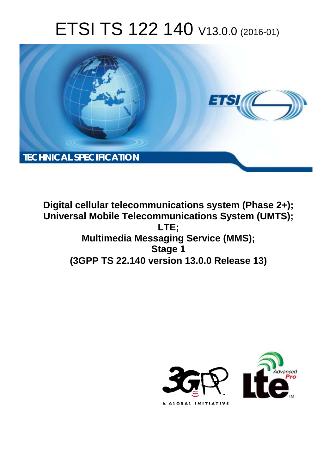# ETSI TS 122 140 V13.0.0 (2016-01)



**Digital cellular telecommunications system (Phase 2+); Universal Mobile Tel elecommunications System ( (UMTS); Multimedia M ia Messaging Service (MMS); (3GPP TS 22.1 .140 version 13.0.0 Release 13 13) LTE; Stage 1** 

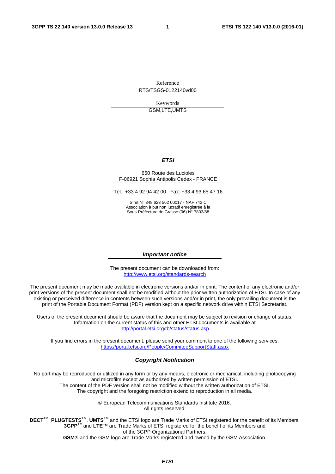Reference RTS/TSGS-0122140vd00

> Keywords GSM,LTE,UMTS

### *ETSI*

#### 650 Route des Lucioles F-06921 Sophia Antipolis Cedex - FRANCE

Tel.: +33 4 92 94 42 00 Fax: +33 4 93 65 47 16

Siret N° 348 623 562 00017 - NAF 742 C Association à but non lucratif enregistrée à la Sous-Préfecture de Grasse (06) N° 7803/88

#### *Important notice*

The present document can be downloaded from: <http://www.etsi.org/standards-search>

The present document may be made available in electronic versions and/or in print. The content of any electronic and/or print versions of the present document shall not be modified without the prior written authorization of ETSI. In case of any existing or perceived difference in contents between such versions and/or in print, the only prevailing document is the print of the Portable Document Format (PDF) version kept on a specific network drive within ETSI Secretariat.

Users of the present document should be aware that the document may be subject to revision or change of status. Information on the current status of this and other ETSI documents is available at <http://portal.etsi.org/tb/status/status.asp>

If you find errors in the present document, please send your comment to one of the following services: <https://portal.etsi.org/People/CommiteeSupportStaff.aspx>

#### *Copyright Notification*

No part may be reproduced or utilized in any form or by any means, electronic or mechanical, including photocopying and microfilm except as authorized by written permission of ETSI.

The content of the PDF version shall not be modified without the written authorization of ETSI. The copyright and the foregoing restriction extend to reproduction in all media.

> © European Telecommunications Standards Institute 2016. All rights reserved.

**DECT**TM, **PLUGTESTS**TM, **UMTS**TM and the ETSI logo are Trade Marks of ETSI registered for the benefit of its Members. **3GPP**TM and **LTE**™ are Trade Marks of ETSI registered for the benefit of its Members and of the 3GPP Organizational Partners.

**GSM**® and the GSM logo are Trade Marks registered and owned by the GSM Association.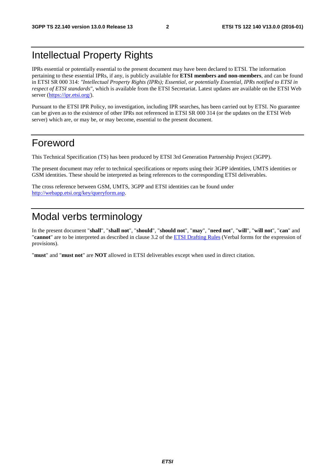### Intellectual Property Rights

IPRs essential or potentially essential to the present document may have been declared to ETSI. The information pertaining to these essential IPRs, if any, is publicly available for **ETSI members and non-members**, and can be found in ETSI SR 000 314: *"Intellectual Property Rights (IPRs); Essential, or potentially Essential, IPRs notified to ETSI in respect of ETSI standards"*, which is available from the ETSI Secretariat. Latest updates are available on the ETSI Web server [\(https://ipr.etsi.org/](https://ipr.etsi.org/)).

Pursuant to the ETSI IPR Policy, no investigation, including IPR searches, has been carried out by ETSI. No guarantee can be given as to the existence of other IPRs not referenced in ETSI SR 000 314 (or the updates on the ETSI Web server) which are, or may be, or may become, essential to the present document.

### Foreword

This Technical Specification (TS) has been produced by ETSI 3rd Generation Partnership Project (3GPP).

The present document may refer to technical specifications or reports using their 3GPP identities, UMTS identities or GSM identities. These should be interpreted as being references to the corresponding ETSI deliverables.

The cross reference between GSM, UMTS, 3GPP and ETSI identities can be found under <http://webapp.etsi.org/key/queryform.asp>.

### Modal verbs terminology

In the present document "**shall**", "**shall not**", "**should**", "**should not**", "**may**", "**need not**", "**will**", "**will not**", "**can**" and "**cannot**" are to be interpreted as described in clause 3.2 of the [ETSI Drafting Rules](http://portal.etsi.org/Help/editHelp!/Howtostart/ETSIDraftingRules.aspx) (Verbal forms for the expression of provisions).

"**must**" and "**must not**" are **NOT** allowed in ETSI deliverables except when used in direct citation.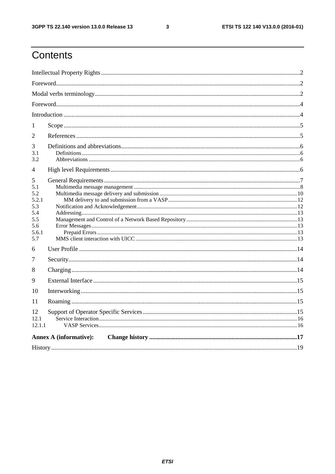$\mathbf{3}$ 

## Contents

| 1                                        |                               |  |  |  |  |  |
|------------------------------------------|-------------------------------|--|--|--|--|--|
| 2                                        |                               |  |  |  |  |  |
| 3<br>3.1<br>3.2                          |                               |  |  |  |  |  |
| 4                                        |                               |  |  |  |  |  |
| 5<br>5.1<br>5.2<br>5.2.1                 |                               |  |  |  |  |  |
| 5.3<br>5.4<br>5.5<br>5.6<br>5.6.1<br>5.7 |                               |  |  |  |  |  |
| 6                                        |                               |  |  |  |  |  |
| 7                                        |                               |  |  |  |  |  |
| 8                                        |                               |  |  |  |  |  |
| 9                                        |                               |  |  |  |  |  |
| 10                                       |                               |  |  |  |  |  |
| 11                                       |                               |  |  |  |  |  |
| 12<br>12.1<br>12.1.1                     |                               |  |  |  |  |  |
|                                          | <b>Annex A (informative):</b> |  |  |  |  |  |
|                                          |                               |  |  |  |  |  |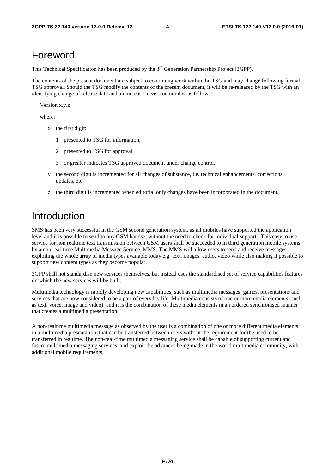### Foreword

This Technical Specification has been produced by the 3<sup>rd</sup> Generation Partnership Project (3GPP).

The contents of the present document are subject to continuing work within the TSG and may change following formal TSG approval. Should the TSG modify the contents of the present document, it will be re-released by the TSG with an identifying change of release date and an increase in version number as follows:

Version x.y.z

where:

- x the first digit:
	- 1 presented to TSG for information;
	- 2 presented to TSG for approval;
	- 3 or greater indicates TSG approved document under change control.
- y the second digit is incremented for all changes of substance, i.e. technical enhancements, corrections, updates, etc.
- z the third digit is incremented when editorial only changes have been incorporated in the document.

### Introduction

SMS has been very successful in the GSM second generation system, as all mobiles have supported the application level and it is possible to send to any GSM handset without the need to check for individual support. This easy to use service for non realtime text transmission between GSM users shall be succeeded to in third generation mobile systems by a non real-time Multimedia Message Service, MMS. The MMS will allow users to send and receive messages exploiting the whole array of media types available today e.g. text, images, audio, video while also making it possible to support new content types as they become popular.

3GPP shall not standardise new services themselves, but instead uses the standardised set of service capabilities features on which the new services will be built.

Multimedia technology is rapidly developing new capabilities, such as multimedia messages, games, presentations and services that are now considered to be a part of everyday life. Multimedia consists of one or more media elements (such as text, voice, image and video), and it is the combination of these media elements in an ordered synchronised manner that creates a multimedia presentation.

A non-realtime multimedia message as observed by the user is a combination of one or more different media elements in a multimedia presentation, that can be transferred between users without the requirement for the need to be transferred in realtime. The non-real-time multimedia messaging service shall be capable of supporting current and future multimedia messaging services, and exploit the advances being made in the world multimedia community, with additional mobile requirements.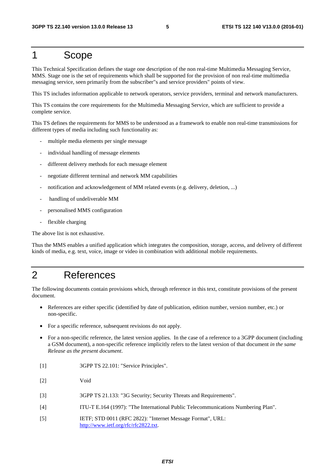### 1 Scope

This Technical Specification defines the stage one description of the non real-time Multimedia Messaging Service, MMS. Stage one is the set of requirements which shall be supported for the provision of non real-time multimedia messaging service, seen primarily from the subscriber"s and service providers" points of view.

This TS includes information applicable to network operators, service providers, terminal and network manufacturers.

This TS contains the core requirements for the Multimedia Messaging Service, which are sufficient to provide a complete service.

This TS defines the requirements for MMS to be understood as a framework to enable non real-time transmissions for different types of media including such functionality as:

- multiple media elements per single message
- individual handling of message elements
- different delivery methods for each message element
- negotiate different terminal and network MM capabilities
- notification and acknowledgement of MM related events (e.g. delivery, deletion, ...)
- handling of undeliverable MM
- personalised MMS configuration
- flexible charging

The above list is not exhaustive.

Thus the MMS enables a unified application which integrates the composition, storage, access, and delivery of different kinds of media, e.g. text, voice, image or video in combination with additional mobile requirements.

### 2 References

The following documents contain provisions which, through reference in this text, constitute provisions of the present document.

- References are either specific (identified by date of publication, edition number, version number, etc.) or non-specific.
- For a specific reference, subsequent revisions do not apply.
- For a non-specific reference, the latest version applies. In the case of a reference to a 3GPP document (including a GSM document), a non-specific reference implicitly refers to the latest version of that document *in the same Release as the present document*.
- [1] 3GPP TS 22.101: "Service Principles".
- [2] Void
- [3] 3GPP TS 21.133: "3G Security; Security Threats and Requirements".
- [4] ITU-T E.164 (1997): "The International Public Telecommunications Numbering Plan".
- [5] IETF; STD 0011 (RFC 2822): "Internet Message Format", URL: <http://www.ietf.org/rfc/rfc2822.txt>.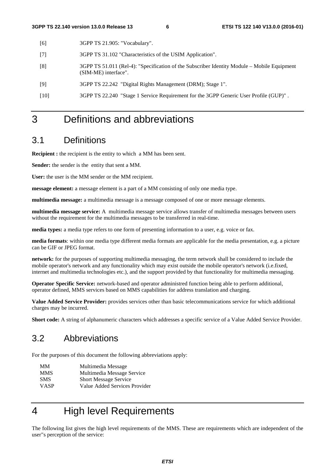- [6] 3GPP TS 21.905: "Vocabulary".
- [7] 3GPP TS 31.102 "Characteristics of the USIM Application".
- [8] 3GPP TS 51.011 (Rel-4): "Specification of the Subscriber Identity Module Mobile Equipment (SIM-ME) interface".
- [9] 3GPP TS 22.242 "Digital Rights Management (DRM); Stage 1".
- [10] 3GPP TS 22.240 "Stage 1 Service Requirement for the 3GPP Generic User Profile (GUP)" .

### 3 Definitions and abbreviations

### 3.1 Definitions

**Recipient :** the recipient is the entity to which a MM has been sent.

**Sender:** the sender is the entity that sent a MM.

**User:** the user is the MM sender or the MM recipient.

**message element:** a message element is a part of a MM consisting of only one media type.

**multimedia message:** a multimedia message is a message composed of one or more message elements.

**multimedia message service:** A multimedia message service allows transfer of multimedia messages between users without the requirement for the multimedia messages to be transferred in real-time.

**media types:** a media type refers to one form of presenting information to a user, e.g. voice or fax.

**media formats**: within one media type different media formats are applicable for the media presentation, e.g. a picture can be GIF or JPEG format.

**network:** for the purposes of supporting multimedia messaging, the term network shall be considered to include the mobile operator's network and any functionality which may exist outside the mobile operator's network (i.e.fixed, internet and multimedia technologies etc.), and the support provided by that functionality for multimedia messaging.

**Operator Specific Service:** network-based and operator administred function being able to perform additional, operator defined, MMS services based on MMS capabilities for address translation and charging.

**Value Added Service Provider:** provides services other than basic telecommunications service for which additional charges may be incurred.

**Short code:** A string of alphanumeric characters which addresses a specific service of a Value Added Service Provider.

### 3.2 Abbreviations

For the purposes of this document the following abbreviations apply:

- MM Multimedia Message
- MMS Multimedia Message Service
- SMS Short Message Service
- VASP Value Added Services Provider

### 4 High level Requirements

The following list gives the high level requirements of the MMS. These are requirements which are independent of the user"s perception of the service: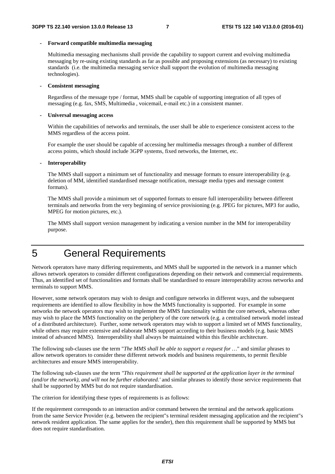#### **- Forward compatible multimedia messaging**

 Multimedia messaging mechanisms shall provide the capability to support current and evolving multimedia messaging by re-using existing standards as far as possible and proposing extensions (as necessary) to existing standards (i.e. the multimedia messaging service shall support the evolution of multimedia messaging technologies).

#### **- Consistent messaging**

 Regardless of the message type / format, MMS shall be capable of supporting integration of all types of messaging (e.g. fax, SMS, Multimedia , voicemail, e-mail etc.) in a consistent manner.

#### **- Universal messaging access**

 Within the capabilities of networks and terminals, the user shall be able to experience consistent access to the MMS regardless of the access point.

 For example the user should be capable of accessing her multimedia messages through a number of different access points, which should include 3GPP systems, fixed networks, the Internet, etc.

#### **- Interoperability**

 The MMS shall support a minimum set of functionality and message formats to ensure interoperability (e.g. deletion of MM, identified standardised message notification, message media types and message content formats).

 The MMS shall provide a minimum set of supported formats to ensure full interoperability between different terminals and networks from the very beginning of service provisioning (e.g. JPEG for pictures, MP3 for audio, MPEG for motion pictures, etc.).

 The MMS shall support version management by indicating a version number in the MM for interoperability purpose.

### 5 General Requirements

Network operators have many differing requirements, and MMS shall be supported in the network in a manner which allows network operators to consider different configurations depending on their network and commercial requirements. Thus, an identified set of functionalities and formats shall be standardised to ensure interoperability across networks and terminals to support MMS.

However, some network operators may wish to design and configure networks in different ways, and the subsequent requirements are identified to allow flexibility in how the MMS functionality is supported. For example in some networks the network operators may wish to implement the MMS functionality within the core network, whereas other may wish to place the MMS functionality on the periphery of the core network (e.g. a centralised network model instead of a distributed architecture). Further, some network operators may wish to support a limited set of MMS functionality, while others may require extensive and elaborate MMS support according to their business models (e.g. basic MMS instead of advanced MMS). Interoperability shall always be maintained within this flexible architecture.

The following sub-clauses use the term "*The MMS shall be able to support a request for …*" and similar phrases to allow network operators to consider these different network models and business requirements, to permit flexible architectures and ensure MMS interoperability.

The following sub-clauses use the term *"This requirement shall be supported at the application layer in the terminal (and/or the network), and will not be further elaborated.'* and similar phrases to identify those service requirements that shall be supported by MMS but do not require standardisation.

The criterion for identifying these types of requirements is as follows:

If the requirement corresponds to an interaction and/or command between the terminal and the network applications from the same Service Provider (e.g. between the recipient"s terminal resident messaging application and the recipient"s network resident application. The same applies for the sender), then this requirement shall be supported by MMS but does not require standardisation.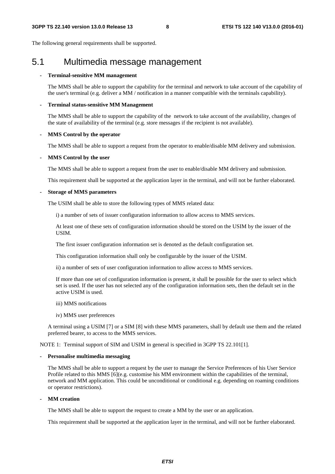The following general requirements shall be supported.

### 5.1 Multimedia message management

#### **- Terminal-sensitive MM management**

 The MMS shall be able to support the capability for the terminal and network to take account of the capability of the user's terminal (e.g. deliver a MM / notification in a manner compatible with the terminals capability).

#### **- Terminal status-sensitive MM Management**

 The MMS shall be able to support the capability of the network to take account of the availability, changes of the state of availability of the terminal (e.g. store messages if the recipient is not available).

#### **- MMS Control by the operator**

The MMS shall be able to support a request from the operator to enable/disable MM delivery and submission.

#### **- MMS Control by the user**

The MMS shall be able to support a request from the user to enable/disable MM delivery and submission.

This requirement shall be supported at the application layer in the terminal, and will not be further elaborated.

#### **- Storage of MMS parameters**

The USIM shall be able to store the following types of MMS related data:

i) a number of sets of issuer configuration information to allow access to MMS services.

At least one of these sets of configuration information should be stored on the USIM by the issuer of the USIM.

The first issuer configuration information set is denoted as the default configuration set.

This configuration information shall only be configurable by the issuer of the USIM.

ii) a number of sets of user configuration information to allow access to MMS services.

If more than one set of configuration information is present, it shall be possible for the user to select which set is used. If the user has not selected any of the configuration information sets, then the default set in the active USIM is used.

#### iii) MMS notifications

iv) MMS user preferences

A terminal using a USIM [7] or a SIM [8] with these MMS parameters, shall by default use them and the related preferred bearer, to access to the MMS services.

NOTE 1: Terminal support of SIM and USIM in general is specified in 3GPP TS 22.101[1].

#### **- Personalise multimedia messaging**

 The MMS shall be able to support a request by the user to manage the Service Preferences of his User Service Profile related to this MMS [6](e.g. customise his MM environment within the capabilities of the terminal, network and MM application. This could be unconditional or conditional e.g. depending on roaming conditions or operator restrictions).

#### **- MM creation**

The MMS shall be able to support the request to create a MM by the user or an application.

This requirement shall be supported at the application layer in the terminal, and will not be further elaborated.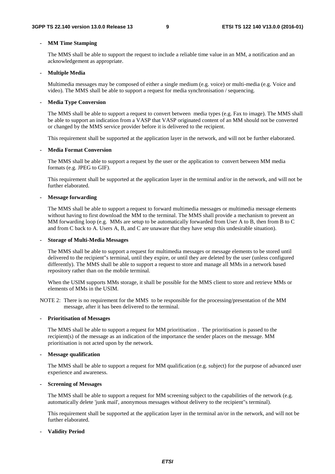#### **- MM Time Stamping**

 The MMS shall be able to support the request to include a reliable time value in an MM, a notification and an acknowledgement as appropriate.

#### **- Multiple Media**

 Multimedia messages may be composed of either a single medium (e.g. voice) or multi-media (e.g. Voice and video). The MMS shall be able to support a request for media synchronisation / sequencing.

#### **- Media Type Conversion**

 The MMS shall be able to support a request to convert between media types (e.g. Fax to image). The MMS shall be able to support an indication from a VASP that VASP originated content of an MM should not be converted or changed by the MMS service provider before it is delivered to the recipient.

This requirement shall be supported at the application layer in the network, and will not be further elaborated.

#### **- Media Format Conversion**

 The MMS shall be able to support a request by the user or the application to convert between MM media formats (e.g. JPEG to GIF).

 This requirement shall be supported at the application layer in the terminal and/or in the network, and will not be further elaborated.

#### **- Message forwarding**

 The MMS shall be able to support a request to forward multimedia messages or multimedia message elements without having to first download the MM to the terminal. The MMS shall provide a mechanism to prevent an MM forwarding loop (e.g. MMs are setup to be automatically forwarded from User A to B, then from B to C and from C back to A. Users A, B, and C are unaware that they have setup this undesirable situation).

#### **- Storage of Multi-Media Messages**

 The MMS shall be able to support a request for multimedia messages or message elements to be stored until delivered to the recipient"s terminal, until they expire, or until they are deleted by the user (unless configured differently). The MMS shall be able to support a request to store and manage all MMs in a network based repository rather than on the mobile terminal.

When the USIM supports MMs storage, it shall be possible for the MMS client to store and retrieve MMs or elements of MMs in the USIM.

NOTE 2: There is no requirement for the MMS to be responsible for the processing/presentation of the MM message, after it has been delivered to the terminal.

#### **- Prioritisation of Messages**

 The MMS shall be able to support a request for MM prioritisation . The prioritisation is passed to the recipient(s) of the message as an indication of the importance the sender places on the message. MM prioritisation is not acted upon by the network.

#### **- Message qualification**

 The MMS shall be able to support a request for MM qualification (e.g. subject) for the purpose of advanced user experience and awareness.

#### **- Screening of Messages**

 The MMS shall be able to support a request for MM screening subject to the capabilities of the network (e.g. automatically delete 'junk mail', anonymous messages without delivery to the recipient"s terminal).

 This requirement shall be supported at the application layer in the terminal an/or in the network, and will not be further elaborated.

#### **- Validity Period**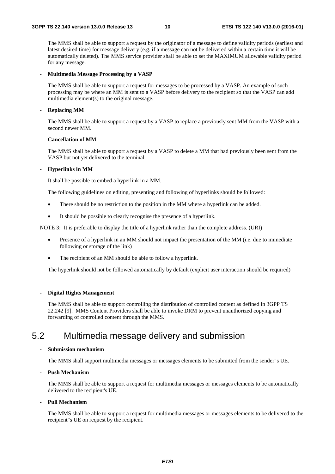The MMS shall be able to support a request by the originator of a message to define validity periods (earliest and latest desired time) for message delivery (e.g. if a message can not be delivered within a certain time it will be automatically deleted). The MMS service provider shall be able to set the MAXIMUM allowable validity period for any message.

#### - **Multimedia Message Processing by a VASP**

The MMS shall be able to support a request for messages to be processed by a VASP. An example of such processing may be where an MM is sent to a VASP before delivery to the recipient so that the VASP can add multimedia element(s) to the original message.

#### - **Replacing MM**

The MMS shall be able to support a request by a VASP to replace a previously sent MM from the VASP with a second newer MM.

#### - **Cancellation of MM**

The MMS shall be able to support a request by a VASP to delete a MM that had previously been sent from the VASP but not yet delivered to the terminal.

### - **Hyperlinks in MM**

It shall be possible to embed a hyperlink in a MM.

The following guidelines on editing, presenting and following of hyperlinks should be followed:

- There should be no restriction to the position in the MM where a hyperlink can be added.
- It should be possible to clearly recognise the presence of a hyperlink.

NOTE 3: It is preferable to display the title of a hyperlink rather than the complete address. (URI)

- Presence of a hyperlink in an MM should not impact the presentation of the MM (i.e. due to immediate following or storage of the link)
- The recipient of an MM should be able to follow a hyperlink.

The hyperlink should not be followed automatically by default (explicit user interaction should be required)

#### - **Digital Rights Management**

The MMS shall be able to support controlling the distribution of controlled content as defined in 3GPP TS 22.242 [9]. MMS Content Providers shall be able to invoke DRM to prevent unauthorized copying and forwarding of controlled content through the MMS.

### 5.2 Multimedia message delivery and submission

#### **- Submission mechanism**

The MMS shall support multimedia messages or messages elements to be submitted from the sender"s UE.

#### **- Push Mechanism**

 The MMS shall be able to support a request for multimedia messages or messages elements to be automatically delivered to the recipient's UE.

#### **- Pull Mechanism**

 The MMS shall be able to support a request for multimedia messages or messages elements to be delivered to the recipient"s UE on request by the recipient.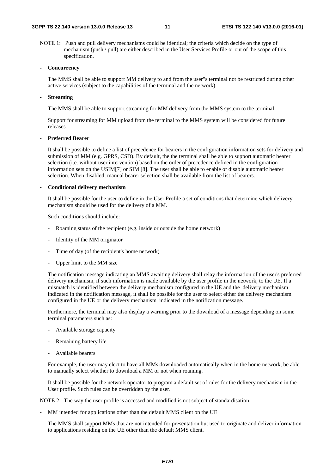NOTE 1: Push and pull delivery mechanisms could be identical; the criteria which decide on the type of mechanism (push / pull) are either described in the User Services Profile or out of the scope of this specification.

#### **- Concurrency**

 The MMS shall be able to support MM delivery to and from the user"s terminal not be restricted during other active services (subject to the capabilities of the terminal and the network).

#### **- Streaming**

The MMS shall be able to support streaming for MM delivery from the MMS system to the terminal.

 Support for streaming for MM upload from the terminal to the MMS system will be considered for future releases.

#### **- Preferred Bearer**

It shall be possible to define a list of precedence for bearers in the configuration information sets for delivery and submission of MM (e.g. GPRS, CSD). By default, the the terminal shall be able to support automatic bearer selection (i.e. without user intervention) based on the order of precedence defined in the configuration information sets on the USIM[7] or SIM [8]. The user shall be able to enable or disable automatic bearer selection. When disabled, manual bearer selection shall be available from the list of bearers.

#### **- Conditional delivery mechanism**

It shall be possible for the user to define in the User Profile a set of conditions that determine which delivery mechanism should be used for the delivery of a MM.

Such conditions should include:

- Roaming status of the recipient (e.g. inside or outside the home network)
- Identity of the MM originator
- Time of day (of the recipient's home network)
- Upper limit to the MM size

The notification message indicating an MMS awaiting delivery shall relay the information of the user's preferred delivery mechanism, if such information is made available by the user profile in the network, to the UE. If a mismatch is identified between the delivery mechanism configured in the UE and the delivery mechanism indicated in the notification message, it shall be possible for the user to select either the delivery mechanism configured in the UE or the delivery mechanism indicated in the notification message.

Furthermore, the terminal may also display a warning prior to the download of a message depending on some terminal parameters such as:

- Available storage capacity
- Remaining battery life
- Available bearers

For example, the user may elect to have all MMs downloaded automatically when in the home network, be able to manually select whether to download a MM or not when roaming.

It shall be possible for the network operator to program a default set of rules for the delivery mechanism in the User profile. Such rules can be overridden by the user.

NOTE 2: The way the user profile is accessed and modified is not subject of standardisation.

MM intended for applications other than the default MMS client on the UE

The MMS shall support MMs that are not intended for presentation but used to originate and deliver information to applications residing on the UE other than the default MMS client.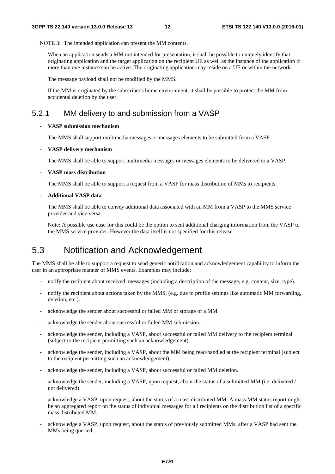NOTE 3: The intended application can present the MM contents.

When an application sends a MM not intended for presentation, it shall be possible to uniquely identify that originating application and the target application on the recipient UE as well as the instance of the application if more than one instance can be active. The originating application may reside on a UE or within the network.

The message payload shall not be modified by the MMS.

If the MM is originated by the subscriber's home environment, it shall be possible to protect the MM from accidental deletion by the user.

### 5.2.1 MM delivery to and submission from a VASP

#### **- VASP submission mechanism**

The MMS shall support multimedia messages or messages elements to be submitted from a VASP.

#### **- VASP delivery mechanism**

The MMS shall be able to support multimedia messages or messages elements to be delivered to a VASP.

#### **- VASP mass distribution**

The MMS shall be able to support a request from a VASP for mass distribution of MMs to recipients.

#### **- Additional VASP data**

The MMS shall be able to convey additional data associated with an MM from a VASP to the MMS service provider and vice versa.

Note: A possible use case for this could be the option to sent additional charging information from the VASP to the MMS service provider. However the data itself is not specified for this release.

### 5.3 Notification and Acknowledgement

The MMS shall be able to support a request to send generic notification and acknowledgement capability to inform the user in an appropriate manner of MMS events. Examples may include:

- notify the recipient about received messages (including a description of the message, e.g. content, size, type).
- notify the recipient about actions taken by the MMS, (e.g. due to profile settings like automatic MM forwarding, deletion, etc.).
- acknowledge the sender about successful or failed MM or storage of a MM.
- acknowledge the sender about successful or failed MM submission.
- acknowledge the sender, including a VASP, about successful or failed MM delivery to the recipient terminal (subject to the recipient permitting such an acknowledgement).
- acknowledge the sender, including a VASP, about the MM being read/handled at the recipient terminal (subject to the recipient permitting such an acknowledgement).
- acknowledge the sender, including a VASP, about successful or failed MM deletion.
- acknowledge the sender, including a VASP, upon request, about the status of a submitted MM (i.e. delivered / not delivered).
- acknowledge a VASP, upon request, about the status of a mass distributed MM. A mass MM status report might be an aggregated report on the status of individual messages for all recipients on the distribution list of a specific mass distributed MM.
- acknowledge a VASP, upon request, about the status of previously submitted MMs, after a VASP had sent the MMs being queried.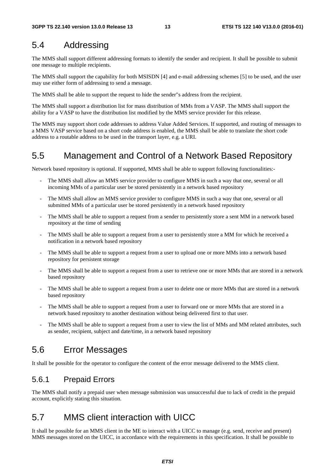### 5.4 Addressing

The MMS shall support different addressing formats to identify the sender and recipient. It shall be possible to submit one message to multiple recipients.

The MMS shall support the capability for both MSISDN [4] and e-mail addressing schemes [5] to be used, and the user may use either form of addressing to send a message.

The MMS shall be able to support the request to hide the sender"s address from the recipient.

The MMS shall support a distribution list for mass distribution of MMs from a VASP. The MMS shall support the ability for a VASP to have the distribution list modified by the MMS service provider for this release.

The MMS may support short code addresses to address Value Added Services. If supported, and routing of messages to a MMS VASP service based on a short code address is enabled, the MMS shall be able to translate the short code address to a routable address to be used in the transport layer, e.g. a URI.

### 5.5 Management and Control of a Network Based Repository

Network based repository is optional. If supported, MMS shall be able to support following functionalities:-

- The MMS shall allow an MMS service provider to configure MMS in such a way that one, several or all incoming MMs of a particular user be stored persistently in a network based repository
- The MMS shall allow an MMS service provider to configure MMS in such a way that one, several or all submitted MMs of a particular user be stored persistently in a network based repository
- The MMS shall be able to support a request from a sender to persistently store a sent MM in a network based repository at the time of sending
- The MMS shall be able to support a request from a user to persistently store a MM for which he received a notification in a network based repository
- The MMS shall be able to support a request from a user to upload one or more MMs into a network based repository for persistent storage
- The MMS shall be able to support a request from a user to retrieve one or more MMs that are stored in a network based repository
- The MMS shall be able to support a request from a user to delete one or more MMs that are stored in a network based repository
- The MMS shall be able to support a request from a user to forward one or more MMs that are stored in a network based repository to another destination without being delivered first to that user.
- The MMS shall be able to support a request from a user to view the list of MMs and MM related attributes, such as sender, recipient, subject and date/time, in a network based repository

### 5.6 Error Messages

It shall be possible for the operator to configure the content of the error message delivered to the MMS client.

### 5.6.1 Prepaid Errors

The MMS shall notify a prepaid user when message submission was unsuccessful due to lack of credit in the prepaid account, explicitly stating this situation.

### 5.7 MMS client interaction with UICC

It shall be possible for an MMS client in the ME to interact with a UICC to manage (e.g. send, receive and present) MMS messages stored on the UICC, in accordance with the requirements in this specification. It shall be possible to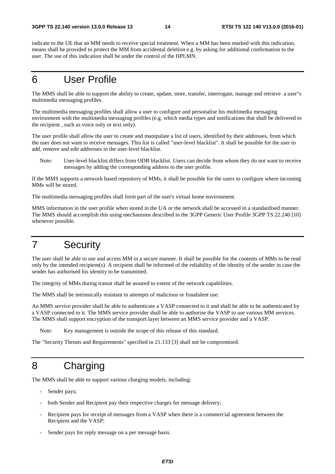indicate to the UE that an MM needs to receive special treatment. When a MM has been marked with this indication, means shall be provided to protect the MM from accidental deletion e.g. by asking for additional confirmation to the user. The use of this indication shall be under the control of the HPLMN.

### 6 User Profile

The MMS shall be able to support the ability to create, update, store, transfer, interrogate, manage and retrieve a user"s multimedia messaging profiles.

The multimedia messaging profiles shall allow a user to configure and personalise his multimedia messaging environment with the multimedia messaging profiles (e.g. which media types and notifications that shall be delivered to the recipient , such as voice only or text only).

The user profile shall allow the user to create and manipulate a list of users, identified by their addresses, from which the user does not want to receive messages. This list is called "user-level blacklist". It shall be possible for the user to add, remove and edit addresses in the user-level blacklist.

Note: User-level blacklist differs from ODB blacklist. Users can decide from whom they do not want to receive messages by adding the corresponding address to the user profile.

If the MMS supports a network based repository of MMs, it shall be possible for the users to configure where incoming MMs will be stored.

The multimedia messaging profiles shall form part of the user's virtual home environment.

MMS information in the user profile when stored in the UA or the network shall be accessed in a standardised manner. The MMS should accomplish this using mechanisms described in the 3GPP Generic User Profile 3GPP TS 22.240 [10] whenever possible.

### 7 Security

The user shall be able to use and access MM in a secure manner. It shall be possible for the contents of MMs to be read only by the intended recipient(s). A recipient shall be informed of the reliability of the identity of the sender in case the sender has authorised his identity to be transmitted.

The integrity of MMs during transit shall be assured to extent of the network capabilities.

The MMS shall be intrinsically resistant to attempts of malicious or fraudulent use.

An MMS service provider shall be able to authenticate a VASP connected to it and shall be able to be authenticated by a VASP connected to it. The MMS service provider shall be able to authorise the VASP to use various MM services. The MMS shall support encryption of the transport layer between an MMS service provider and a VASP.

Note: Key management is outside the scope of this release of this standard.

The "Security Threats and Requirements" specified in 21.133 [3] shall not be compromised.

### 8 Charging

The MMS shall be able to support various charging models, including:

- Sender pays;
- both Sender and Recipient pay their respective charges for message delivery;
- Recipient pays for receipt of messages from a VASP when there is a commercial agreement between the Recipient and the VASP;
- Sender pays for reply message on a per message basis.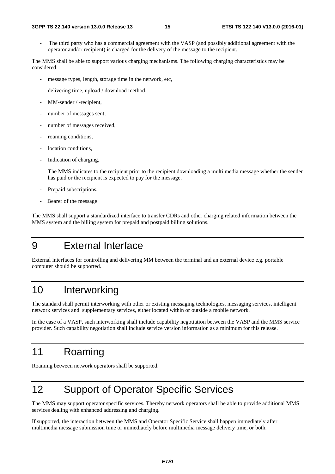#### **3GPP TS 22.140 version 13.0.0 Release 13 15 ETSI TS 122 140 V13.0.0 (2016-01)**

The third party who has a commercial agreement with the VASP (and possibly additional agreement with the operator and/or recipient) is charged for the delivery of the message to the recipient.

The MMS shall be able to support various charging mechanisms. The following charging characteristics may be considered:

- message types, length, storage time in the network, etc,
- delivering time, upload / download method,
- MM-sender / -recipient,
- number of messages sent,
- number of messages received,
- roaming conditions,
- location conditions,
- Indication of charging,

The MMS indicates to the recipient prior to the recipient downloading a multi media message whether the sender has paid or the recipient is expected to pay for the message.

- Prepaid subscriptions.
- Bearer of the message

The MMS shall support a standardized interface to transfer CDRs and other charging related information between the MMS system and the billing system for prepaid and postpaid billing solutions.

### 9 External Interface

External interfaces for controlling and delivering MM between the terminal and an external device e.g. portable computer should be supported.

### 10 Interworking

The standard shall permit interworking with other or existing messaging technologies, messaging services, intelligent network services and supplementary services, either located within or outside a mobile network.

In the case of a VASP, such interworking shall include capability negotiation between the VASP and the MMS service provider. Such capability negotiation shall include service version information as a minimum for this release.

### 11 Roaming

Roaming between network operators shall be supported.

### 12 Support of Operator Specific Services

The MMS may support operator specific services. Thereby network operators shall be able to provide additional MMS services dealing with enhanced addressing and charging.

If supported, the interaction between the MMS and Operator Specific Service shall happen immediately after multimedia message submission time or immediately before multimedia message delivery time, or both.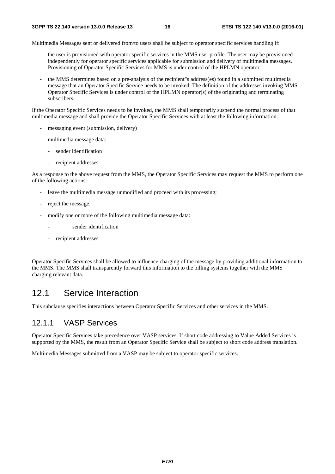Multimedia Messages sent or delivered from/to users shall be subject to operator specific services handling if:

- the user is provisioned with operator specific services in the MMS user profile. The user may be provisioned independently for operator specific services applicable for submission and delivery of multimedia messages. Provisioning of Operator Specific Services for MMS is under control of the HPLMN operator.
- the MMS determines based on a pre-analysis of the recipient"s address(es) found in a submitted multimedia message that an Operator Specific Service needs to be invoked. The definition of the addresses invoking MMS Operator Specific Services is under control of the HPLMN operator(s) of the originating and terminating subscribers.

If the Operator Specific Services needs to be invoked, the MMS shall temporarily suspend the normal process of that multimedia message and shall provide the Operator Specific Services with at least the following information:

- messaging event (submission, delivery)
- multimedia message data:
	- sender identification
	- recipient addresses

As a response to the above request from the MMS, the Operator Specific Services may request the MMS to perform one of the following actions:

- leave the multimedia message unmodified and proceed with its processing;
- reject the message.
- modify one or more of the following multimedia message data:
	- sender identification
	- recipient addresses

Operator Specific Services shall be allowed to influence charging of the message by providing additional information to the MMS. The MMS shall transparently forward this information to the billing systems together with the MMS charging relevant data.

### 12.1 Service Interaction

This subclause specifies interactions between Operator Specific Services and other services in the MMS.

### 12.1.1 VASP Services

Operator Specific Services take precedence over VASP services. If short code addressing to Value Added Services is supported by the MMS, the result from an Operator Specific Service shall be subject to short code address translation.

Multimedia Messages submitted from a VASP may be subject to operator specific services.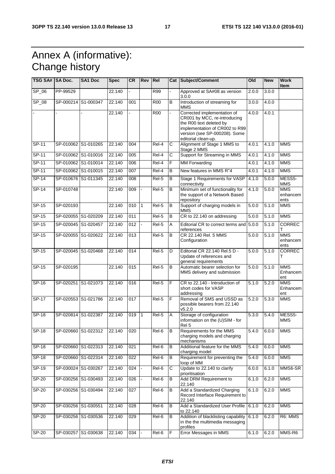### Annex A (informative): Change history

| TSG SA# SA Doc. |                     | <b>SA1 Doc</b>             | <b>Spec</b> | <b>CR</b> | Rev Rel      |                    |                | Cat Subject/Comment                                                                                                                                                              | Old   | <b>New</b> | <b>Work</b><br><b>Item</b>      |
|-----------------|---------------------|----------------------------|-------------|-----------|--------------|--------------------|----------------|----------------------------------------------------------------------------------------------------------------------------------------------------------------------------------|-------|------------|---------------------------------|
| $SP_06$         | PP-99529            |                            | 22.140      |           |              | R99                |                | Approved at SA#08 as version<br>3.0.0                                                                                                                                            | 2.0.0 | 3.0.0      |                                 |
| SP_08           | SP-000214 S1-000347 |                            | 22.140      | 001       |              | <b>R00</b>         | $\overline{B}$ | Introduction of streaming for<br><b>MMS</b>                                                                                                                                      | 3.0.0 | 4.0.0      |                                 |
|                 |                     |                            | 22.140      |           |              | <b>R00</b>         |                | Corrected implementation of<br>CR001 by MCC, re-introducing<br>the R00 text deleted by<br>implementation of CR002 to R99<br>version (see SP-000208). Some<br>editorial clean-up. | 4.0.0 | 4.0.1      |                                 |
| SP-11           | SP-010062 S1-010265 |                            | 22.140      | 004       |              | Rel-4              | $\mathsf{C}$   | Alignment of Stage 1 MMS to<br>Stage 2 MMS                                                                                                                                       | 4.0.1 | 4.1.0      | <b>MMS</b>                      |
| $SP-11$         | SP-010062 S1-010016 |                            | 22.140      | 005       |              | Rel-4              | $\overline{C}$ | Support for Streaming in MMS                                                                                                                                                     | 4.0.1 | 4.1.0      | <b>MMS</b>                      |
| $SP-11$         |                     | SP-010062 S1-010014        | 22.140      | 006       |              | Rel-4              | $\overline{F}$ | <b>MM Forwarding</b>                                                                                                                                                             | 4.0.1 | 4.1.0      | <b>MMS</b>                      |
| $SP-11$         | SP-010062 S1-010015 |                            | 22.140      | 007       |              | Rel-4              | В              | New features in MMS R"4                                                                                                                                                          | 4.0.1 | 4.1.0      | <b>MMS</b>                      |
| SP-14           |                     | SP-010676 S1-011345        | 22.140      | 008       |              | Rel-5              | B              | Stage 1 Requirements for VASP<br>connectivity                                                                                                                                    | 4.1.0 | 5.0.0      | MESS5-<br>MMS                   |
| $SP-14$         | SP-010748           |                            | 22.140      | 009       |              | Rel-5              | B              | Minimum set of functionality for<br>the support of a Network Based<br>repository                                                                                                 | 4.1.0 | 5.0.0      | <b>MMS</b><br>enhancem<br>ents  |
| $SP-15$         | SP-020193           |                            | 22.140      | 010       | $\vert$ 1    | $Rel-5$            | B              | Support of charging models in<br><b>MMS</b>                                                                                                                                      | 5.0.0 | 5.1.0      | <b>MMS</b>                      |
| $SP-15$         | SP-020055 S1-020209 |                            | 22.140      | 011       |              | Rel-5              | $\overline{B}$ | CR to 22.140 on addressing                                                                                                                                                       | 5.0.0 | 5.1.0      | <b>MMS</b>                      |
| SP-15           | SP-020045 S1-020457 |                            | 22.140      | 012       |              | Rel-5              | Α              | Editorial CR to correct terms and 5.0.0<br>references                                                                                                                            |       | 5.1.0      | <b>CORREC</b>                   |
| SP-15           | SP-020055 S1-020622 |                            | 22.140      | 013       |              | Rel-5              | B              | CR 22.140 Rel. 5 MMS<br>Configuration                                                                                                                                            | 5.0.0 | 5.1.0      | <b>MMS</b><br>enhancem<br>ents  |
| $SP-15$         |                     | SP-020045 S1-020468        | 22.140      | 014       |              | $ReI-5$            | D              | Editorial CR 22.140 Rel.5 D -<br>Update of references and<br>general requirements                                                                                                | 5.0.0 | 5.1.0      | <b>CORREC</b><br>т              |
| SP-15           | SP-020195           |                            | 22.140      | 015       |              | Rel-5              | B              | Automatic bearer selection for<br>MMS delivery and submission                                                                                                                    | 5.0.0 | 5.1.0      | <b>MMS</b><br>Enhancem<br>ent   |
| SP-16           |                     | SP-020251 S1-021073        | 22.140      | 016       |              | Rel-5              | F              | CR to 22.140 - Introduction of<br>short codes for VASP<br>addressing                                                                                                             | 5.1.0 | 5.2.0      | <b>MMS</b><br>Enhancem<br>ent   |
| $SP-17$         | SP-020553 S1-021786 |                            | 22.140      | 017       |              | $ReI-5$            | F              | Removal of SMS and USSD as<br>possible bearers from 22.140<br>v5.2.0                                                                                                             | 5.2.0 | 5.3.0      | <b>MMS</b>                      |
| <b>SP-18</b>    | SP-020814 S1-022387 |                            | 22.140      | 019       | $\mathbf{1}$ | Rel-5              | A              | Storage of configuration<br>information on the (U)SIM - for<br>Rel 5                                                                                                             | 5.3.0 | 5.4.0      | MESS <sub>5</sub><br><b>MMS</b> |
| $SP-18$         |                     | SP-020660 S1-022312 22.140 |             | 020       |              | $Rel-6$ B          |                | Requirements for the MMS<br>charging models and charging<br>mechanisms                                                                                                           | 5.4.0 | 6.0.0      | <b>MMS</b>                      |
| $SP-18$         |                     | SP-020660 S1-022313        | 22.140      | 021       |              | Rel-6              | $\overline{B}$ | Additional feature for the MMS<br>charging model                                                                                                                                 | 5.4.0 | 6.0.0      | <b>MMS</b>                      |
| $SP-18$         |                     | SP-020660 S1-022314        | 22.140      | 022       |              | Rel-6              | В              | Requirement for preventing the<br>loop of MM                                                                                                                                     | 5.4.0 | 6.0.0      | <b>MMS</b>                      |
| $SP-19$         | SP-030024 S1-030267 |                            | 22.140      | 024       |              | Rel-6              | $\overline{C}$ | Update to 22.140 to clarify<br>prioritisation                                                                                                                                    | 6.0.0 | 6.1.0      | MMS6-SR                         |
| $SP-20$         |                     | SP-030256 S1-030493        | 22.140      | 026       |              | Rel-6              | В              | Add DRM Requirement to<br>22.140                                                                                                                                                 | 6.1.0 | 6.2.0      | <b>MMS</b>                      |
| $SP-20$         |                     | SP-030256 S1-030494        | 22.140      | 027       |              | Rel-6              | B              | Add a Standardized Charging<br>Record Interface Requirement to<br>22.140                                                                                                         | 6.1.0 | 6.2.0      | <b>MMS</b>                      |
| SP-20           | SP-030256 S1-030551 |                            | 22.140      | 028       |              | $\overline{Rel-6}$ | В              | Add a Standardized User Profile 6.1.0<br>to 22.140                                                                                                                               |       | 6.2.0      | <b>MMS</b>                      |
| SP-20           | SP-030256 S1-030536 |                            | 22.140      | 029       |              | Rel-6              | в              | Addition of blacklisting capability<br>in the the multimedia messaging<br>profiles                                                                                               | 6.1.0 | 6.2.0      | R6: MMS                         |
| $SP-20$         | SP-030257 S1-030638 |                            | 22.140      | 034       |              | Rel-6              | F              | Error Messages in MMS                                                                                                                                                            | 6.1.0 | 6.2.0      | MMS-R6                          |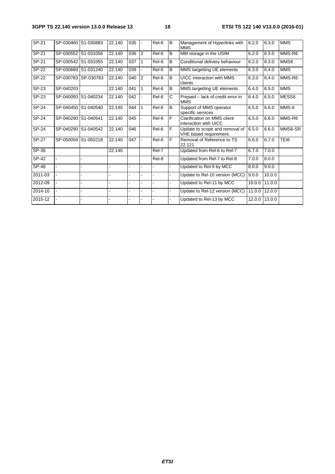| SP-21        | SP-030460 S1-030883 |                     | 22.140 | 035 |                | Rel-6               | B | Management of Hyperlinks with<br><b>MMS</b>              | 6.2.0  | 6.3.0  | <b>MMS</b> |
|--------------|---------------------|---------------------|--------|-----|----------------|---------------------|---|----------------------------------------------------------|--------|--------|------------|
| SP-21        | SP-030552 S1-031056 |                     | 22.140 | 036 | <sup>2</sup>   | Rel-6               | B | MM storage in the USIM                                   | 6.2.0  | 6.3.0  | MMS-R6     |
| SP-21        | SP-030542 S1-031055 |                     | 22.140 | 037 | $\mathsf{I}$   | Rel-6               | B | Conditional delivery behaviour                           | 6.2.0  | 6.3.0  | MMS6       |
| $SP-22$      |                     | SP-030689 S1-031240 | 22.140 | 039 |                | Rel-6               | B | MMS targetting UE elements                               | 6.3.0  | 6.4.0  | <b>MMS</b> |
| <b>SP-22</b> |                     | SP-030783 SP-030783 | 22.140 | 040 | $\overline{2}$ | Rel-6               | B | UICC interaction with MMS<br>clients                     | 6.3.0  | 6.4.0  | MMS-R6     |
| SP-23        | SP-040203           |                     | 22.140 | 041 | 1              | Rel-6               | B | MMS targetting UE elements                               | 6.4.0  | 6.5.0  | <b>MMS</b> |
| SP-23        |                     | SP-040093 S1-040234 | 22.140 | 042 |                | Rel-6               | C | Prepaid - lack of credit error in<br><b>MMS</b>          | 6.4.0  | 6.5.0  | MESS6      |
| SP-24        |                     | SP-040450 S1-040540 | 22.140 | 044 | $\mathbf{1}$   | $\overline{ReI}$ -6 | B | Support of MMS operator<br>specific services             | 6.5.0  | 6.6.0  | MMS-6      |
| SP-24        | SP-040290 S1-040541 |                     | 22.140 | 045 |                | Rel-6               | F | Clarification on MMS client<br>interaction with UICC     | 6.5.0  | 6.6.0  | MMS-R6     |
| SP-24        | SP-040290 S1-040542 |                     | 22.140 | 046 |                | Rel-6               | F | Update to scope and removal of<br>VHE based requirement. | 6.5.0  | 6.6.0  | MMS6-SR    |
| SP-27        | SP-050059 S1-050218 |                     | 22.140 | 047 | $\blacksquare$ | Rel-6               | F | Removal of Reference to TS<br>22.121                     | 6.6.0  | 6.7.0  | TEI6       |
| SP-36        |                     |                     | 22.140 |     |                | Rel-7               |   | Updated from Rel-6 to Rel-7                              | 6.7.0  | 7.0.0  |            |
| <b>SP-42</b> |                     |                     |        |     |                | Rel-8               |   | Updated from Rel-7 to Rel-8                              | 7.0.0  | 8.0.0  |            |
| SP-46        |                     |                     |        |     |                |                     |   | Updated to Rel-9 by MCC                                  | 8.0.0  | 9.0.0  |            |
| 2011-03      |                     |                     |        |     |                |                     |   | Update to Rel-10 version (MCC)                           | 9.0.0  | 10.0.0 |            |
| 2012-09      |                     |                     |        |     |                |                     |   | Updated to Rel-11 by MCC                                 | 10.0.0 | 11.0.0 |            |
| 2014-10      |                     |                     |        |     |                |                     |   | Update to Rel-12 version (MCC)                           | 11.0.0 | 12.0.0 |            |
| 2015-12      |                     |                     |        |     |                |                     |   | Updated to Rel-13 by MCC                                 | 12.0.0 | 13.0.0 |            |